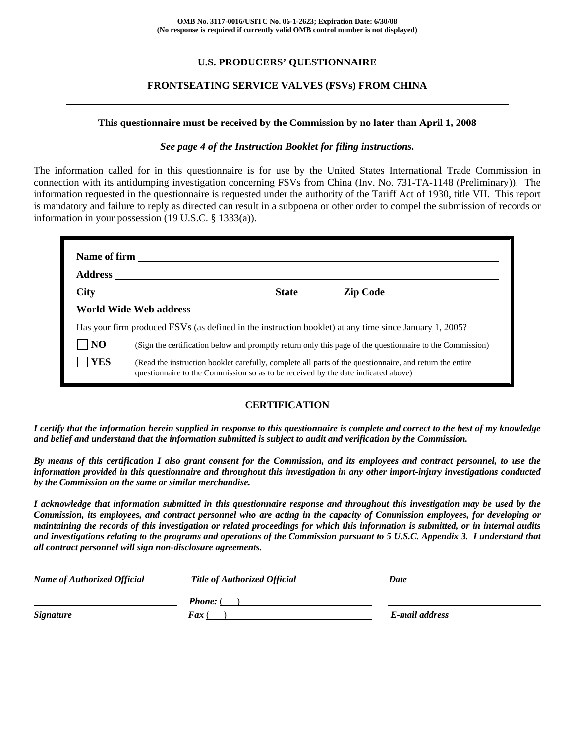# **U.S. PRODUCERS' QUESTIONNAIRE**

## **FRONTSEATING SERVICE VALVES (FSVs) FROM CHINA**

#### **This questionnaire must be received by the Commission by no later than April 1, 2008**

#### *See page 4 of the Instruction Booklet for filing instructions.*

The information called for in this questionnaire is for use by the United States International Trade Commission in connection with its antidumping investigation concerning FSVs from China (Inv. No. 731-TA-1148 (Preliminary)). The information requested in the questionnaire is requested under the authority of the Tariff Act of 1930, title VII. This report is mandatory and failure to reply as directed can result in a subpoena or other order to compel the submission of records or information in your possession (19 U.S.C. § 1333(a)).

|                | Has your firm produced FSVs (as defined in the instruction booklet) at any time since January 1, 2005?                                                                                       |
|----------------|----------------------------------------------------------------------------------------------------------------------------------------------------------------------------------------------|
| $\overline{N}$ | (Sign the certification below and promptly return only this page of the questionnaire to the Commission)                                                                                     |
| <b>YES</b>     | (Read the instruction booklet carefully, complete all parts of the questionnaire, and return the entire<br>questionnaire to the Commission so as to be received by the date indicated above) |

## **CERTIFICATION**

*I certify that the information herein supplied in response to this questionnaire is complete and correct to the best of my knowledge and belief and understand that the information submitted is subject to audit and verification by the Commission.* 

*By means of this certification I also grant consent for the Commission, and its employees and contract personnel, to use the information provided in this questionnaire and throughout this investigation in any other import-injury investigations conducted by the Commission on the same or similar merchandise.* 

*I acknowledge that information submitted in this questionnaire response and throughout this investigation may be used by the Commission, its employees, and contract personnel who are acting in the capacity of Commission employees, for developing or maintaining the records of this investigation or related proceedings for which this information is submitted, or in internal audits and investigations relating to the programs and operations of the Commission pursuant to 5 U.S.C. Appendix 3. I understand that all contract personnel will sign non-disclosure agreements.* 

| <b>Name of Authorized Official</b> | <b>Title of Authorized Official</b> | Date           |
|------------------------------------|-------------------------------------|----------------|
|                                    | <b>Phone:</b> (                     |                |
| <b>Signature</b>                   | <b>Fax</b> (                        | E-mail address |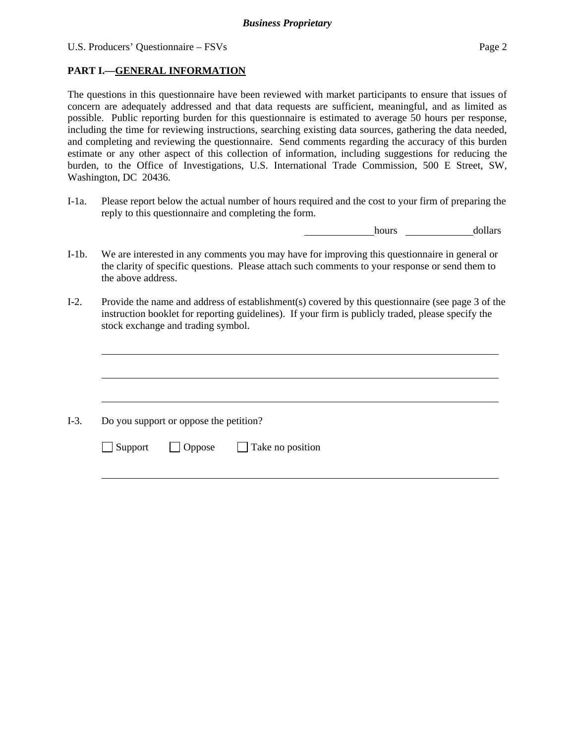$\overline{a}$ 

 $\overline{a}$ 

l

## **PART I.—GENERAL INFORMATION**

The questions in this questionnaire have been reviewed with market participants to ensure that issues of concern are adequately addressed and that data requests are sufficient, meaningful, and as limited as possible. Public reporting burden for this questionnaire is estimated to average 50 hours per response, including the time for reviewing instructions, searching existing data sources, gathering the data needed, and completing and reviewing the questionnaire. Send comments regarding the accuracy of this burden estimate or any other aspect of this collection of information, including suggestions for reducing the burden, to the Office of Investigations, U.S. International Trade Commission, 500 E Street, SW, Washington, DC 20436.

I-1a. Please report below the actual number of hours required and the cost to your firm of preparing the reply to this questionnaire and completing the form.

**hours** <u>dollars</u>

- I-1b. We are interested in any comments you may have for improving this questionnaire in general or the clarity of specific questions. Please attach such comments to your response or send them to the above address.
- I-2. Provide the name and address of establishment(s) covered by this questionnaire (see page 3 of the instruction booklet for reporting guidelines). If your firm is publicly traded, please specify the stock exchange and trading symbol.

 $\overline{a}$ I-3. Do you support or oppose the petition?  $\Box$  Support  $\Box$  Oppose  $\Box$  Take no position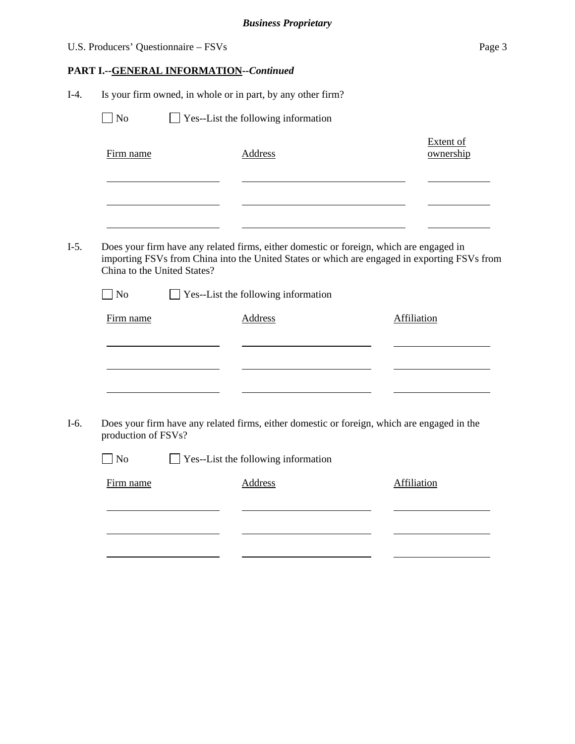|                             | U.S. Producers' Questionnaire - FSVs |                                                             | Page 3                                                                                                                                                                                  |
|-----------------------------|--------------------------------------|-------------------------------------------------------------|-----------------------------------------------------------------------------------------------------------------------------------------------------------------------------------------|
|                             |                                      | PART I.--GENERAL INFORMATION--Continued                     |                                                                                                                                                                                         |
|                             |                                      | Is your firm owned, in whole or in part, by any other firm? |                                                                                                                                                                                         |
| N <sub>o</sub>              |                                      | Yes--List the following information                         |                                                                                                                                                                                         |
| Firm name                   |                                      | <b>Address</b>                                              | <b>Extent of</b><br>ownership                                                                                                                                                           |
|                             |                                      |                                                             | Does your firm have any related firms, either domestic or foreign, which are engaged in<br>importing FSVs from China into the United States or which are engaged in exporting FSVs from |
| China to the United States? |                                      |                                                             |                                                                                                                                                                                         |
| $\blacksquare$ No           |                                      | $\Box$ Yes--List the following information                  |                                                                                                                                                                                         |
| Firm name                   |                                      | <b>Address</b>                                              | <b>Affiliation</b>                                                                                                                                                                      |
|                             |                                      |                                                             |                                                                                                                                                                                         |
| production of FSVs?         |                                      |                                                             | Does your firm have any related firms, either domestic or foreign, which are engaged in the                                                                                             |
| No                          |                                      | Yes--List the following information                         |                                                                                                                                                                                         |
| Firm name                   |                                      | <b>Address</b>                                              | Affiliation                                                                                                                                                                             |
|                             |                                      |                                                             |                                                                                                                                                                                         |
|                             |                                      |                                                             |                                                                                                                                                                                         |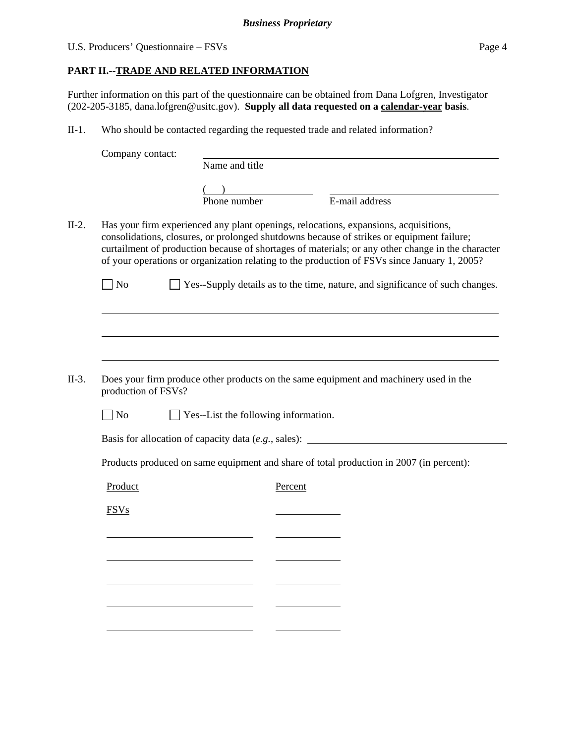# **PART II.--TRADE AND RELATED INFORMATION**

Further information on this part of the questionnaire can be obtained from Dana Lofgren, Investigator (202-205-3185, dana.lofgren@usitc.gov). **Supply all data requested on a calendar-year basis**.

II-1. Who should be contacted regarding the requested trade and related information?

| Company contact:    |                                             |         |                                                                                                                                                                                                                                                                                                                                                                                        |
|---------------------|---------------------------------------------|---------|----------------------------------------------------------------------------------------------------------------------------------------------------------------------------------------------------------------------------------------------------------------------------------------------------------------------------------------------------------------------------------------|
|                     | Name and title                              |         |                                                                                                                                                                                                                                                                                                                                                                                        |
|                     |                                             |         |                                                                                                                                                                                                                                                                                                                                                                                        |
|                     | Phone number                                |         | E-mail address                                                                                                                                                                                                                                                                                                                                                                         |
|                     |                                             |         | Has your firm experienced any plant openings, relocations, expansions, acquisitions,<br>consolidations, closures, or prolonged shutdowns because of strikes or equipment failure;<br>curtailment of production because of shortages of materials; or any other change in the character<br>of your operations or organization relating to the production of FSVs since January 1, 2005? |
| <b>No</b>           |                                             |         | Yes--Supply details as to the time, nature, and significance of such changes.                                                                                                                                                                                                                                                                                                          |
|                     |                                             |         |                                                                                                                                                                                                                                                                                                                                                                                        |
|                     |                                             |         |                                                                                                                                                                                                                                                                                                                                                                                        |
| production of FSVs? |                                             |         | Does your firm produce other products on the same equipment and machinery used in the                                                                                                                                                                                                                                                                                                  |
| $\Box$ No           | $\Box$ Yes--List the following information. |         |                                                                                                                                                                                                                                                                                                                                                                                        |
|                     |                                             |         | Basis for allocation of capacity data (e.g., sales): ____________________________                                                                                                                                                                                                                                                                                                      |
|                     |                                             |         | Products produced on same equipment and share of total production in 2007 (in percent):                                                                                                                                                                                                                                                                                                |
| Product             |                                             | Percent |                                                                                                                                                                                                                                                                                                                                                                                        |
| <b>FSVs</b>         |                                             |         |                                                                                                                                                                                                                                                                                                                                                                                        |
|                     |                                             |         |                                                                                                                                                                                                                                                                                                                                                                                        |
|                     |                                             |         |                                                                                                                                                                                                                                                                                                                                                                                        |
|                     |                                             |         |                                                                                                                                                                                                                                                                                                                                                                                        |
|                     |                                             |         |                                                                                                                                                                                                                                                                                                                                                                                        |
|                     |                                             |         |                                                                                                                                                                                                                                                                                                                                                                                        |
|                     |                                             |         |                                                                                                                                                                                                                                                                                                                                                                                        |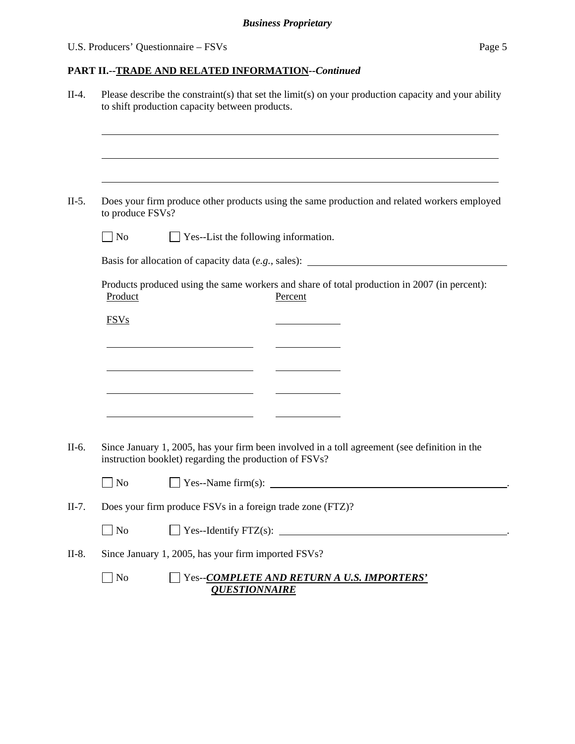# **PART II.--TRADE AND RELATED INFORMATION***--Continued*

|         | Please describe the constraint(s) that set the limit(s) on your production capacity and your ability<br>to shift production capacity between products.  |
|---------|---------------------------------------------------------------------------------------------------------------------------------------------------------|
|         |                                                                                                                                                         |
| $II-5.$ | Does your firm produce other products using the same production and related workers employed<br>to produce FSVs?                                        |
|         | $\Box$ Yes--List the following information.<br>$\Box$ No                                                                                                |
|         | Basis for allocation of capacity data (e.g., sales): ____________________________                                                                       |
|         | Products produced using the same workers and share of total production in 2007 (in percent):<br>Product<br>Percent                                      |
|         | <b>FSVs</b>                                                                                                                                             |
|         |                                                                                                                                                         |
|         | <u> 1989 - Johann Barbara, martxa alemaniar a</u>                                                                                                       |
|         |                                                                                                                                                         |
|         |                                                                                                                                                         |
|         |                                                                                                                                                         |
|         | Since January 1, 2005, has your firm been involved in a toll agreement (see definition in the<br>instruction booklet) regarding the production of FSVs? |
|         | $\overline{\phantom{a}}$ No                                                                                                                             |
|         | Does your firm produce FSVs in a foreign trade zone (FTZ)?                                                                                              |
|         | $\Box$ No<br>$Yes-Identity FTZ(s):$                                                                                                                     |
|         | Since January 1, 2005, has your firm imported FSVs?                                                                                                     |
|         | $\sqrt{\phantom{a}}$ No<br>Yes--COMPLETE AND RETURN A U.S. IMPORTERS'<br><b>QUESTIONNAIRE</b>                                                           |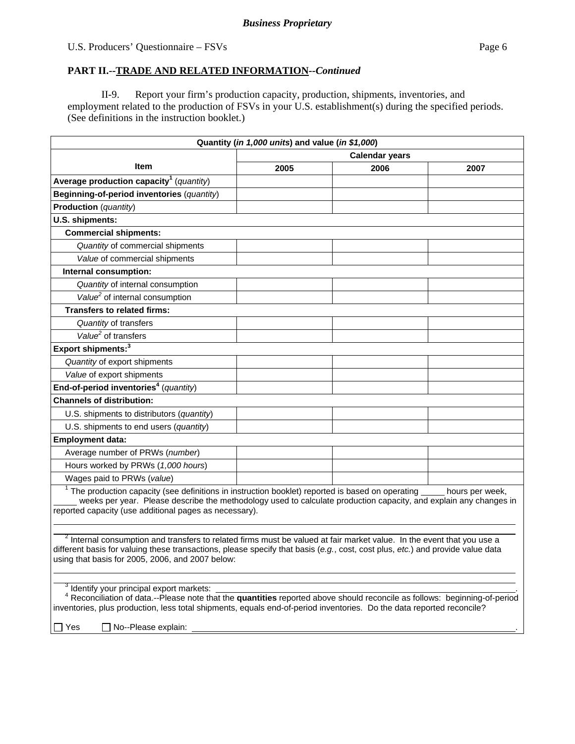#### **PART II.--TRADE AND RELATED INFORMATION***--Continued*

II-9. Report your firm's production capacity, production, shipments, inventories, and employment related to the production of FSVs in your U.S. establishment(s) during the specified periods. (See definitions in the instruction booklet.)

|                                                                                                                                                                                                                                                                                                                                                             | Quantity (in 1,000 units) and value (in \$1,000) |      |                 |  |
|-------------------------------------------------------------------------------------------------------------------------------------------------------------------------------------------------------------------------------------------------------------------------------------------------------------------------------------------------------------|--------------------------------------------------|------|-----------------|--|
| <b>Calendar years</b>                                                                                                                                                                                                                                                                                                                                       |                                                  |      |                 |  |
| Item                                                                                                                                                                                                                                                                                                                                                        | 2005                                             | 2006 | 2007            |  |
| Average production capacity <sup>1</sup> (quantity)                                                                                                                                                                                                                                                                                                         |                                                  |      |                 |  |
| Beginning-of-period inventories (quantity)                                                                                                                                                                                                                                                                                                                  |                                                  |      |                 |  |
| <b>Production</b> (quantity)                                                                                                                                                                                                                                                                                                                                |                                                  |      |                 |  |
| U.S. shipments:                                                                                                                                                                                                                                                                                                                                             |                                                  |      |                 |  |
| <b>Commercial shipments:</b>                                                                                                                                                                                                                                                                                                                                |                                                  |      |                 |  |
| Quantity of commercial shipments                                                                                                                                                                                                                                                                                                                            |                                                  |      |                 |  |
| Value of commercial shipments                                                                                                                                                                                                                                                                                                                               |                                                  |      |                 |  |
| Internal consumption:                                                                                                                                                                                                                                                                                                                                       |                                                  |      |                 |  |
| Quantity of internal consumption                                                                                                                                                                                                                                                                                                                            |                                                  |      |                 |  |
| Value <sup>2</sup> of internal consumption                                                                                                                                                                                                                                                                                                                  |                                                  |      |                 |  |
| <b>Transfers to related firms:</b>                                                                                                                                                                                                                                                                                                                          |                                                  |      |                 |  |
| Quantity of transfers                                                                                                                                                                                                                                                                                                                                       |                                                  |      |                 |  |
| Value <sup>2</sup> of transfers                                                                                                                                                                                                                                                                                                                             |                                                  |      |                 |  |
| Export shipments: <sup>3</sup>                                                                                                                                                                                                                                                                                                                              |                                                  |      |                 |  |
| Quantity of export shipments                                                                                                                                                                                                                                                                                                                                |                                                  |      |                 |  |
| Value of export shipments                                                                                                                                                                                                                                                                                                                                   |                                                  |      |                 |  |
| End-of-period inventories <sup>4</sup> (quantity)                                                                                                                                                                                                                                                                                                           |                                                  |      |                 |  |
| <b>Channels of distribution:</b>                                                                                                                                                                                                                                                                                                                            |                                                  |      |                 |  |
| U.S. shipments to distributors (quantity)                                                                                                                                                                                                                                                                                                                   |                                                  |      |                 |  |
| U.S. shipments to end users (quantity)                                                                                                                                                                                                                                                                                                                      |                                                  |      |                 |  |
| <b>Employment data:</b>                                                                                                                                                                                                                                                                                                                                     |                                                  |      |                 |  |
| Average number of PRWs (number)                                                                                                                                                                                                                                                                                                                             |                                                  |      |                 |  |
| Hours worked by PRWs (1,000 hours)                                                                                                                                                                                                                                                                                                                          |                                                  |      |                 |  |
| Wages paid to PRWs (value)                                                                                                                                                                                                                                                                                                                                  |                                                  |      |                 |  |
| $1$ The production capacity (see definitions in instruction booklet) reported is based on operating<br>weeks per year. Please describe the methodology used to calculate production capacity, and explain any changes in<br>reported capacity (use additional pages as necessary).                                                                          |                                                  |      | hours per week, |  |
| $2$ Internal consumption and transfers to related firms must be valued at fair market value. In the event that you use a<br>different basis for valuing these transactions, please specify that basis (e.g., cost, cost plus, etc.) and provide value data<br>using that basis for 2005, 2006, and 2007 below:                                              |                                                  |      |                 |  |
| <sup>3</sup> Identify your principal export markets:<br><sup>4</sup> Reconciliation of data.--Please note that the <b>quantities</b> reported above should reconcile as follows: beginning-of-period<br>inventories, plus production, less total shipments, equals end-of-period inventories. Do the data reported reconcile?<br>No--Please explain:<br>Yes |                                                  |      |                 |  |
|                                                                                                                                                                                                                                                                                                                                                             |                                                  |      |                 |  |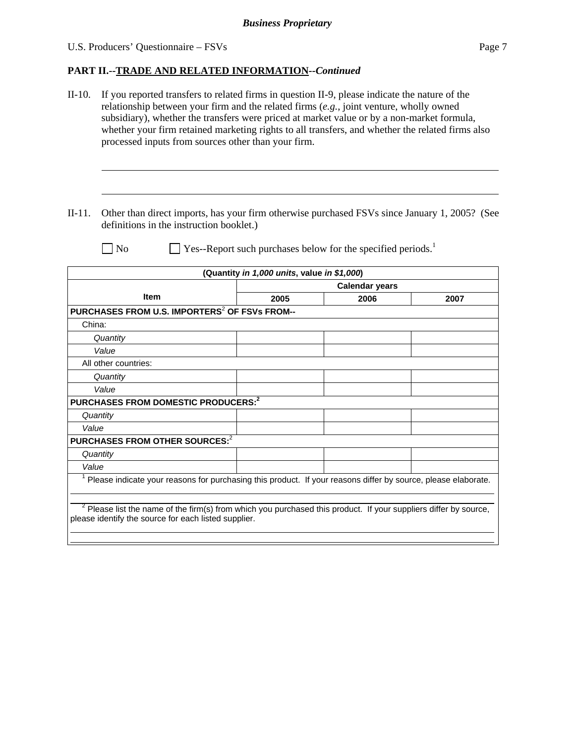#### **PART II.--TRADE AND RELATED INFORMATION***--Continued*

- II-10. If you reported transfers to related firms in question II-9, please indicate the nature of the relationship between your firm and the related firms (*e.g.*, joint venture, wholly owned subsidiary), whether the transfers were priced at market value or by a non-market formula, whether your firm retained marketing rights to all transfers, and whether the related firms also processed inputs from sources other than your firm.
- II-11. Other than direct imports, has your firm otherwise purchased FSVs since January 1, 2005? (See definitions in the instruction booklet.)

l

 $\overline{a}$ 

 $\Box$  No  $\Box$  Yes--Report such purchases below for the specified periods.<sup>1</sup>

|                                                                                                                                                                            | (Quantity in 1,000 units, value in \$1,000) |      |      |  |
|----------------------------------------------------------------------------------------------------------------------------------------------------------------------------|---------------------------------------------|------|------|--|
|                                                                                                                                                                            | <b>Calendar years</b>                       |      |      |  |
| <b>Item</b>                                                                                                                                                                | 2005                                        | 2006 | 2007 |  |
| PURCHASES FROM U.S. IMPORTERS <sup>2</sup> OF FSVs FROM--                                                                                                                  |                                             |      |      |  |
| China:                                                                                                                                                                     |                                             |      |      |  |
| Quantity                                                                                                                                                                   |                                             |      |      |  |
| Value                                                                                                                                                                      |                                             |      |      |  |
| All other countries:                                                                                                                                                       |                                             |      |      |  |
| Quantity                                                                                                                                                                   |                                             |      |      |  |
| Value                                                                                                                                                                      |                                             |      |      |  |
| PURCHASES FROM DOMESTIC PRODUCERS: <sup>2</sup>                                                                                                                            |                                             |      |      |  |
| Quantity                                                                                                                                                                   |                                             |      |      |  |
| Value                                                                                                                                                                      |                                             |      |      |  |
| PURCHASES FROM OTHER SOURCES: <sup>2</sup>                                                                                                                                 |                                             |      |      |  |
| Quantity                                                                                                                                                                   |                                             |      |      |  |
| Value                                                                                                                                                                      |                                             |      |      |  |
| Please indicate your reasons for purchasing this product. If your reasons differ by source, please elaborate.                                                              |                                             |      |      |  |
| $2$ Please list the name of the firm(s) from which you purchased this product. If your suppliers differ by source,<br>please identify the source for each listed supplier. |                                             |      |      |  |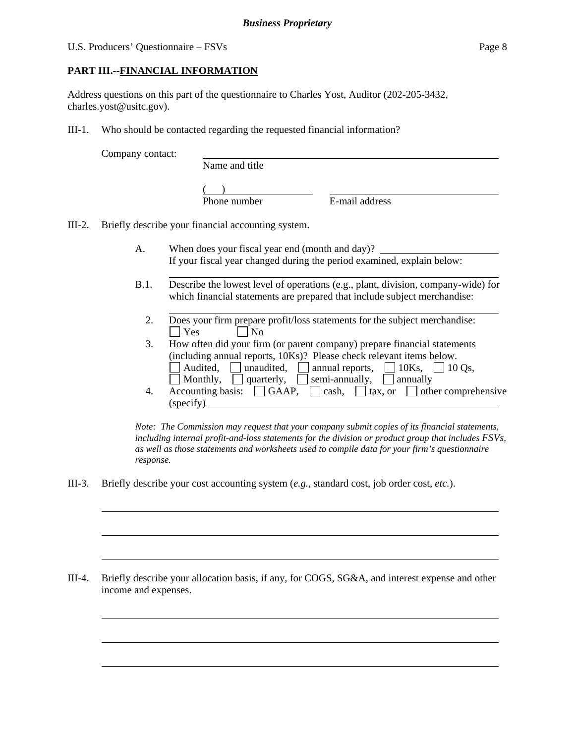## **PART III.--FINANCIAL INFORMATION**

Address questions on this part of the questionnaire to Charles Yost, Auditor (202-205-3432, charles.yost@usitc.gov).

III-1. Who should be contacted regarding the requested financial information?

Company contact:

l

 $\overline{a}$ 

 $\overline{a}$ 

 $\overline{a}$ 

 $\overline{a}$ 

 $\overline{a}$ 

Name and title

 $($ 

Phone number E-mail address

III-2. Briefly describe your financial accounting system.

l

- A. When does your fiscal year end (month and day)? If your fiscal year changed during the period examined, explain below:
- B.1. Describe the lowest level of operations (e.g., plant, division, company-wide) for which financial statements are prepared that include subject merchandise:
	- l 2. Does your firm prepare profit/loss statements for the subject merchandise:  $\Box$  Yes  $\Box$  No
	- 3. How often did your firm (or parent company) prepare financial statements (including annual reports, 10Ks)? Please check relevant items below. Audited, <u>I</u> unaudited,  $\Box$  annual reports,  $\Box$  10Ks,  $\Box$  10 Qs, Monthly,  $\Box$  quarterly,  $\Box$  semi-annually,  $\Box$  annually
	- 4. Accounting basis:  $\Box$  GAAP,  $\Box$  cash,  $\Box$  tax, or  $\Box$  other comprehensive (specify)

*Note: The Commission may request that your company submit copies of its financial statements, including internal profit-and-loss statements for the division or product group that includes FSVs, as well as those statements and worksheets used to compile data for your firm's questionnaire response.* 

III-3. Briefly describe your cost accounting system (*e.g.*, standard cost, job order cost, *etc.*).

III-4. Briefly describe your allocation basis, if any, for COGS, SG&A, and interest expense and other income and expenses.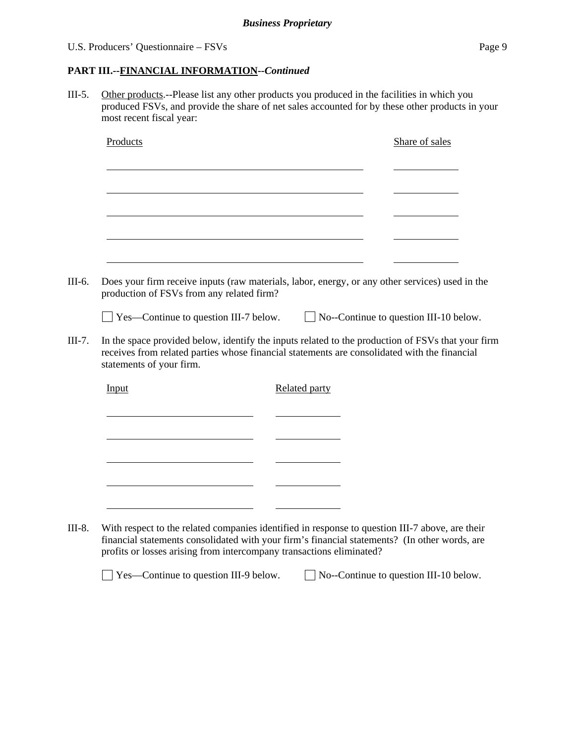#### U.S. Producers' Questionnaire – FSVs Page 9

#### **PART III.--FINANCIAL INFORMATION***--Continued*

III-5. Other products.--Please list any other products you produced in the facilities in which you produced FSVs, and provide the share of net sales accounted for by these other products in your most recent fiscal year:

| Products                                     | Share of sales                                                                                                                                                                                    |
|----------------------------------------------|---------------------------------------------------------------------------------------------------------------------------------------------------------------------------------------------------|
|                                              |                                                                                                                                                                                                   |
|                                              |                                                                                                                                                                                                   |
|                                              |                                                                                                                                                                                                   |
|                                              |                                                                                                                                                                                                   |
|                                              |                                                                                                                                                                                                   |
| production of FSVs from any related firm?    | Does your firm receive inputs (raw materials, labor, energy, or any other services) used in the                                                                                                   |
| $\Box$ Yes—Continue to question III-7 below. | $\Box$ No--Continue to question III-10 below.                                                                                                                                                     |
|                                              |                                                                                                                                                                                                   |
| statements of your firm.                     | In the space provided below, identify the inputs related to the production of FSVs that your firm<br>receives from related parties whose financial statements are consolidated with the financial |
| Input                                        | <b>Related party</b>                                                                                                                                                                              |
|                                              |                                                                                                                                                                                                   |
|                                              |                                                                                                                                                                                                   |
|                                              |                                                                                                                                                                                                   |
|                                              |                                                                                                                                                                                                   |
|                                              |                                                                                                                                                                                                   |

financial statements consolidated with your firm's financial statements? (In other words, are profits or losses arising from intercompany transactions eliminated?

□ Yes—Continue to question III-9 below. □ No--Continue to question III-10 below.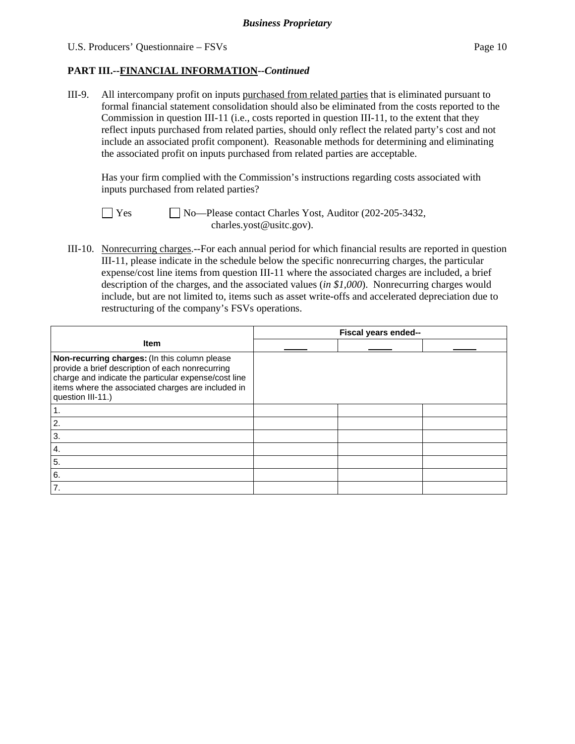### **PART III.--FINANCIAL INFORMATION***--Continued*

III-9. All intercompany profit on inputs purchased from related parties that is eliminated pursuant to formal financial statement consolidation should also be eliminated from the costs reported to the Commission in question III-11 (i.e., costs reported in question III-11, to the extent that they reflect inputs purchased from related parties, should only reflect the related party's cost and not include an associated profit component). Reasonable methods for determining and eliminating the associated profit on inputs purchased from related parties are acceptable.

 Has your firm complied with the Commission's instructions regarding costs associated with inputs purchased from related parties?

No—Please contact Charles Yost, Auditor (202-205-3432, charles.yost@usitc.gov).

III-10. Nonrecurring charges.--For each annual period for which financial results are reported in question III-11, please indicate in the schedule below the specific nonrecurring charges, the particular expense/cost line items from question III-11 where the associated charges are included, a brief description of the charges, and the associated values (*in \$1,000*). Nonrecurring charges would include, but are not limited to, items such as asset write-offs and accelerated depreciation due to restructuring of the company's FSVs operations.

|                                                                                                                                                                                                                                      | Fiscal years ended-- |  |  |
|--------------------------------------------------------------------------------------------------------------------------------------------------------------------------------------------------------------------------------------|----------------------|--|--|
| <b>Item</b>                                                                                                                                                                                                                          |                      |  |  |
| Non-recurring charges: (In this column please<br>provide a brief description of each nonrecurring<br>charge and indicate the particular expense/cost line<br>items where the associated charges are included in<br>question III-11.) |                      |  |  |
|                                                                                                                                                                                                                                      |                      |  |  |
| 2.                                                                                                                                                                                                                                   |                      |  |  |
| 3.                                                                                                                                                                                                                                   |                      |  |  |
| 4.                                                                                                                                                                                                                                   |                      |  |  |
| 5.                                                                                                                                                                                                                                   |                      |  |  |
| 6.                                                                                                                                                                                                                                   |                      |  |  |
| 7.                                                                                                                                                                                                                                   |                      |  |  |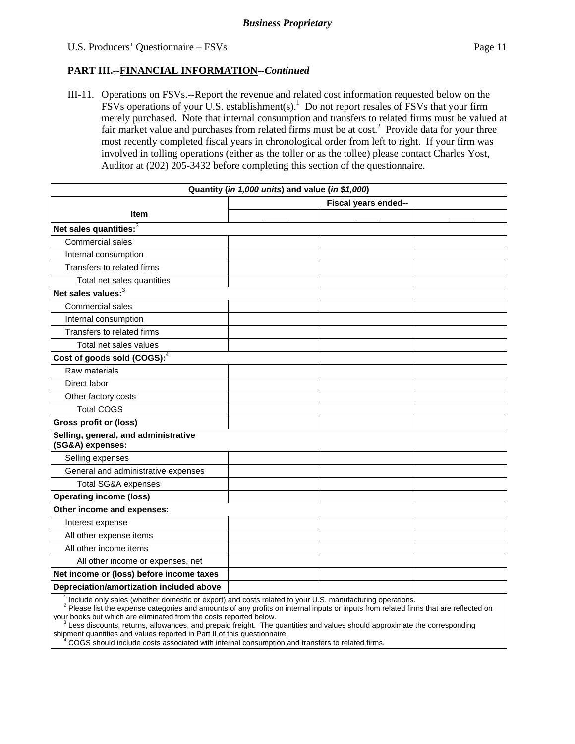### **PART III.--FINANCIAL INFORMATION***--Continued*

III-11. Operations on FSVs.--Report the revenue and related cost information requested below on the  $\overline{FSV}$ s operations of your U.S. establishment(s).<sup>1</sup> Do not report resales of  $\overline{FSV}$ s that your firm merely purchased. Note that internal consumption and transfers to related firms must be valued at fair market value and purchases from related firms must be at  $cost<sup>2</sup>$ . Provide data for your three most recently completed fiscal years in chronological order from left to right. If your firm was involved in tolling operations (either as the toller or as the tollee) please contact Charles Yost, Auditor at (202) 205-3432 before completing this section of the questionnaire.

| Quantity (in 1,000 units) and value (in \$1,000)                                                         |                      |  |  |  |
|----------------------------------------------------------------------------------------------------------|----------------------|--|--|--|
|                                                                                                          | Fiscal years ended-- |  |  |  |
| <b>Item</b>                                                                                              |                      |  |  |  |
| Net sales quantities: $3\overline{3}$                                                                    |                      |  |  |  |
| Commercial sales                                                                                         |                      |  |  |  |
| Internal consumption                                                                                     |                      |  |  |  |
| Transfers to related firms                                                                               |                      |  |  |  |
| Total net sales quantities                                                                               |                      |  |  |  |
| Net sales values: <sup>3</sup>                                                                           |                      |  |  |  |
| Commercial sales                                                                                         |                      |  |  |  |
| Internal consumption                                                                                     |                      |  |  |  |
| Transfers to related firms                                                                               |                      |  |  |  |
| Total net sales values                                                                                   |                      |  |  |  |
| Cost of goods sold (COGS): $4$                                                                           |                      |  |  |  |
| Raw materials                                                                                            |                      |  |  |  |
| Direct labor                                                                                             |                      |  |  |  |
| Other factory costs                                                                                      |                      |  |  |  |
| <b>Total COGS</b>                                                                                        |                      |  |  |  |
| <b>Gross profit or (loss)</b>                                                                            |                      |  |  |  |
| Selling, general, and administrative<br>(SG&A) expenses:                                                 |                      |  |  |  |
| Selling expenses                                                                                         |                      |  |  |  |
| General and administrative expenses                                                                      |                      |  |  |  |
| Total SG&A expenses                                                                                      |                      |  |  |  |
| <b>Operating income (loss)</b>                                                                           |                      |  |  |  |
| Other income and expenses:                                                                               |                      |  |  |  |
| Interest expense                                                                                         |                      |  |  |  |
| All other expense items                                                                                  |                      |  |  |  |
| All other income items                                                                                   |                      |  |  |  |
| All other income or expenses, net                                                                        |                      |  |  |  |
| Net income or (loss) before income taxes                                                                 |                      |  |  |  |
| Depreciation/amortization included above                                                                 |                      |  |  |  |
| Include only sales (whether domestic or export) and costs related to your U.S. manufacturing operations. |                      |  |  |  |

<sup>2</sup> Please list the expense categories and amounts of any profits on internal inputs or inputs from related firms that are reflected on your books but which are eliminated from the costs reported below.

 $\frac{3}{2}$ Less discounts, returns, allowances, and prepaid freight. The quantities and values should approximate the corresponding shipment quantities and values reported in Part II of this questionnaire.

<sup>4</sup> COGS should include costs associated with internal consumption and transfers to related firms.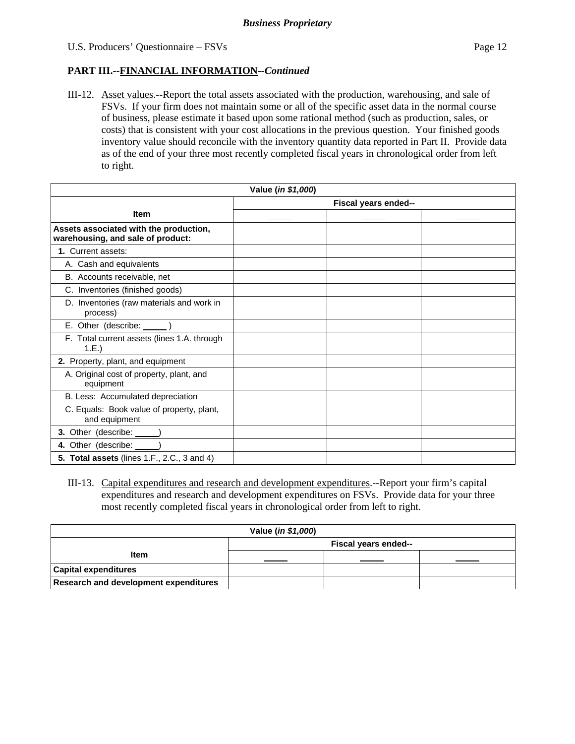### **PART III.--FINANCIAL INFORMATION***--Continued*

III-12. Asset values.--Report the total assets associated with the production, warehousing, and sale of FSVs. If your firm does not maintain some or all of the specific asset data in the normal course of business, please estimate it based upon some rational method (such as production, sales, or costs) that is consistent with your cost allocations in the previous question. Your finished goods inventory value should reconcile with the inventory quantity data reported in Part II. Provide data as of the end of your three most recently completed fiscal years in chronological order from left to right.

| Value (in \$1,000)                                                          |                      |  |  |  |
|-----------------------------------------------------------------------------|----------------------|--|--|--|
|                                                                             | Fiscal years ended-- |  |  |  |
| <b>Item</b>                                                                 |                      |  |  |  |
| Assets associated with the production,<br>warehousing, and sale of product: |                      |  |  |  |
| 1. Current assets:                                                          |                      |  |  |  |
| A. Cash and equivalents                                                     |                      |  |  |  |
| B. Accounts receivable, net                                                 |                      |  |  |  |
| C. Inventories (finished goods)                                             |                      |  |  |  |
| D. Inventories (raw materials and work in<br>process)                       |                      |  |  |  |
| E. Other (describe: ______)                                                 |                      |  |  |  |
| F. Total current assets (lines 1.A. through<br>1.E.)                        |                      |  |  |  |
| 2. Property, plant, and equipment                                           |                      |  |  |  |
| A. Original cost of property, plant, and<br>equipment                       |                      |  |  |  |
| B. Less: Accumulated depreciation                                           |                      |  |  |  |
| C. Equals: Book value of property, plant,<br>and equipment                  |                      |  |  |  |
| 3. Other (describe: ______)                                                 |                      |  |  |  |
| 4. Other (describe: _____)                                                  |                      |  |  |  |
| <b>5. Total assets</b> (lines 1.F., 2.C., 3 and 4)                          |                      |  |  |  |

III-13. Capital expenditures and research and development expenditures.--Report your firm's capital expenditures and research and development expenditures on FSVs. Provide data for your three most recently completed fiscal years in chronological order from left to right.

| Value (in \$1,000)                           |                      |  |  |  |  |
|----------------------------------------------|----------------------|--|--|--|--|
|                                              | Fiscal years ended-- |  |  |  |  |
| <b>Item</b>                                  |                      |  |  |  |  |
| <b>Capital expenditures</b>                  |                      |  |  |  |  |
| <b>Research and development expenditures</b> |                      |  |  |  |  |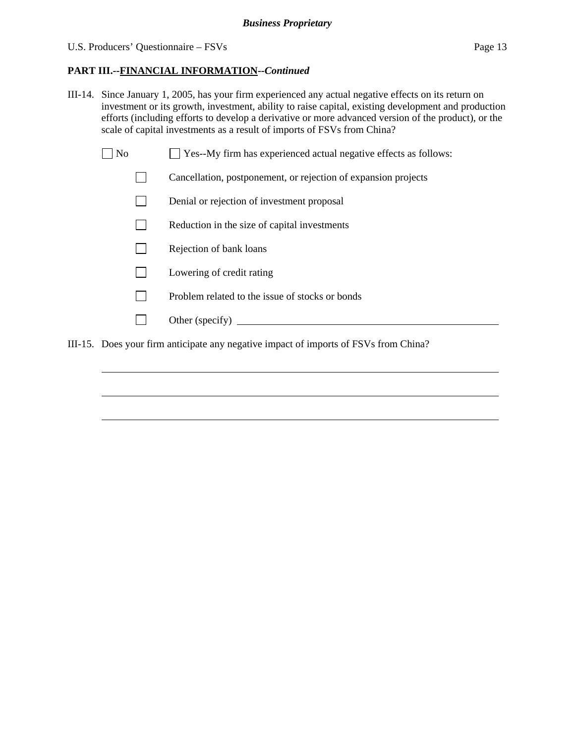## **PART III.--FINANCIAL INFORMATION***--Continued*

- III-14. Since January 1, 2005, has your firm experienced any actual negative effects on its return on investment or its growth, investment, ability to raise capital, existing development and production efforts (including efforts to develop a derivative or more advanced version of the product), or the scale of capital investments as a result of imports of FSVs from China?
	- $\Box$  No  $\Box$  Yes--My firm has experienced actual negative effects as follows:
		- Cancellation, postponement, or rejection of expansion projects
		- Denial or rejection of investment proposal
		- $\Box$  Reduction in the size of capital investments
		- $\Box$  Rejection of bank loans
		- **Lowering of credit rating**
		- $\Box$  Problem related to the issue of stocks or bonds
		- Other (specify)

 $\overline{a}$ 

 $\overline{a}$ 

 $\overline{a}$ 

III-15. Does your firm anticipate any negative impact of imports of FSVs from China?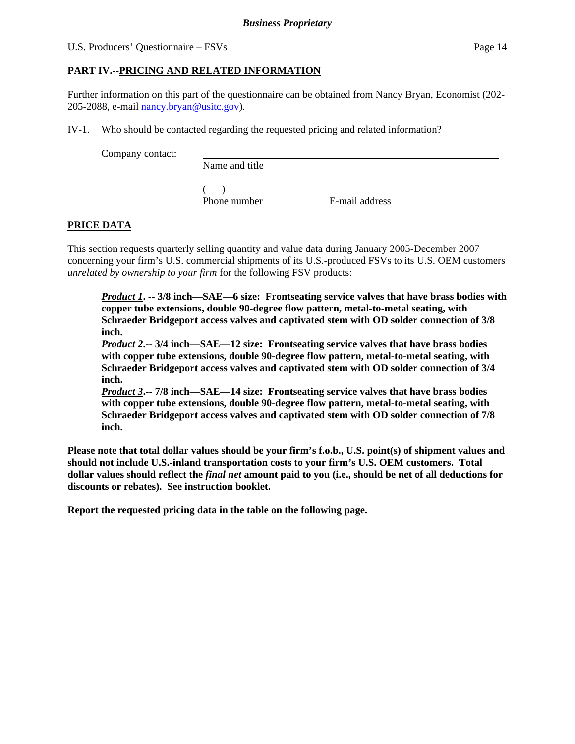## **PART IV.--PRICING AND RELATED INFORMATION**

Further information on this part of the questionnaire can be obtained from Nancy Bryan, Economist (202- 205-2088, e-mail nancy.bryan@usitc.gov).

IV-1. Who should be contacted regarding the requested pricing and related information?

Company contact:

Name and title

 $($ 

Phone number E-mail address

# **PRICE DATA**

This section requests quarterly selling quantity and value data during January 2005-December 2007 concerning your firm's U.S. commercial shipments of its U.S.-produced FSVs to its U.S. OEM customers *unrelated by ownership to your firm* for the following FSV products:

*Product 1***. -- 3/8 inch—SAE—6 size: Frontseating service valves that have brass bodies with copper tube extensions, double 90-degree flow pattern, metal-to-metal seating, with Schraeder Bridgeport access valves and captivated stem with OD solder connection of 3/8 inch.** 

*Product 2***.-- 3/4 inch—SAE—12 size: Frontseating service valves that have brass bodies with copper tube extensions, double 90-degree flow pattern, metal-to-metal seating, with Schraeder Bridgeport access valves and captivated stem with OD solder connection of 3/4 inch.** 

*Product 3***.-- 7/8 inch—SAE—14 size: Frontseating service valves that have brass bodies with copper tube extensions, double 90-degree flow pattern, metal-to-metal seating, with Schraeder Bridgeport access valves and captivated stem with OD solder connection of 7/8 inch.** 

**Please note that total dollar values should be your firm's f.o.b., U.S. point(s) of shipment values and should not include U.S.-inland transportation costs to your firm's U.S. OEM customers. Total dollar values should reflect the** *final net* **amount paid to you (i.e., should be net of all deductions for discounts or rebates). See instruction booklet.** 

**Report the requested pricing data in the table on the following page.**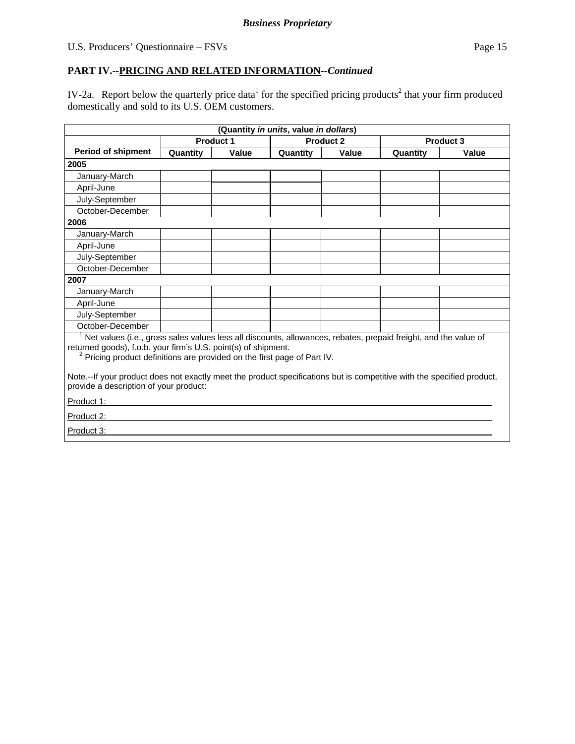# **PART IV.--PRICING AND RELATED INFORMATION***--Continued*

IV-2a. Report below the quarterly price data<sup>1</sup> for the specified pricing products<sup>2</sup> that your firm produced domestically and sold to its U.S. OEM customers.

|                                                                                                                                                                                                                                                                                                                                                                                                    | (Quantity in units, value in dollars) |                  |                  |       |          |           |  |
|----------------------------------------------------------------------------------------------------------------------------------------------------------------------------------------------------------------------------------------------------------------------------------------------------------------------------------------------------------------------------------------------------|---------------------------------------|------------------|------------------|-------|----------|-----------|--|
|                                                                                                                                                                                                                                                                                                                                                                                                    |                                       | <b>Product 1</b> | <b>Product 2</b> |       |          | Product 3 |  |
| <b>Period of shipment</b>                                                                                                                                                                                                                                                                                                                                                                          | Quantity                              | Value            | Quantity         | Value | Quantity | Value     |  |
| 2005                                                                                                                                                                                                                                                                                                                                                                                               |                                       |                  |                  |       |          |           |  |
| January-March                                                                                                                                                                                                                                                                                                                                                                                      |                                       |                  |                  |       |          |           |  |
| April-June                                                                                                                                                                                                                                                                                                                                                                                         |                                       |                  |                  |       |          |           |  |
| July-September                                                                                                                                                                                                                                                                                                                                                                                     |                                       |                  |                  |       |          |           |  |
| October-December                                                                                                                                                                                                                                                                                                                                                                                   |                                       |                  |                  |       |          |           |  |
| 2006                                                                                                                                                                                                                                                                                                                                                                                               |                                       |                  |                  |       |          |           |  |
| January-March                                                                                                                                                                                                                                                                                                                                                                                      |                                       |                  |                  |       |          |           |  |
| April-June                                                                                                                                                                                                                                                                                                                                                                                         |                                       |                  |                  |       |          |           |  |
| July-September                                                                                                                                                                                                                                                                                                                                                                                     |                                       |                  |                  |       |          |           |  |
| October-December                                                                                                                                                                                                                                                                                                                                                                                   |                                       |                  |                  |       |          |           |  |
| 2007                                                                                                                                                                                                                                                                                                                                                                                               |                                       |                  |                  |       |          |           |  |
| January-March                                                                                                                                                                                                                                                                                                                                                                                      |                                       |                  |                  |       |          |           |  |
| April-June                                                                                                                                                                                                                                                                                                                                                                                         |                                       |                  |                  |       |          |           |  |
| July-September                                                                                                                                                                                                                                                                                                                                                                                     |                                       |                  |                  |       |          |           |  |
| October-December                                                                                                                                                                                                                                                                                                                                                                                   |                                       |                  |                  |       |          |           |  |
| Net values (i.e., gross sales values less all discounts, allowances, rebates, prepaid freight, and the value of<br>returned goods), f.o.b. your firm's U.S. point(s) of shipment.<br><sup>2</sup> Pricing product definitions are provided on the first page of Part IV.<br>Note.--If your product does not exactly meet the product specifications but is competitive with the specified product, |                                       |                  |                  |       |          |           |  |
| provide a description of your product:                                                                                                                                                                                                                                                                                                                                                             |                                       |                  |                  |       |          |           |  |
|                                                                                                                                                                                                                                                                                                                                                                                                    | Product 1:                            |                  |                  |       |          |           |  |
| Product 2:                                                                                                                                                                                                                                                                                                                                                                                         |                                       |                  |                  |       |          |           |  |
| Product 3:                                                                                                                                                                                                                                                                                                                                                                                         |                                       |                  |                  |       |          |           |  |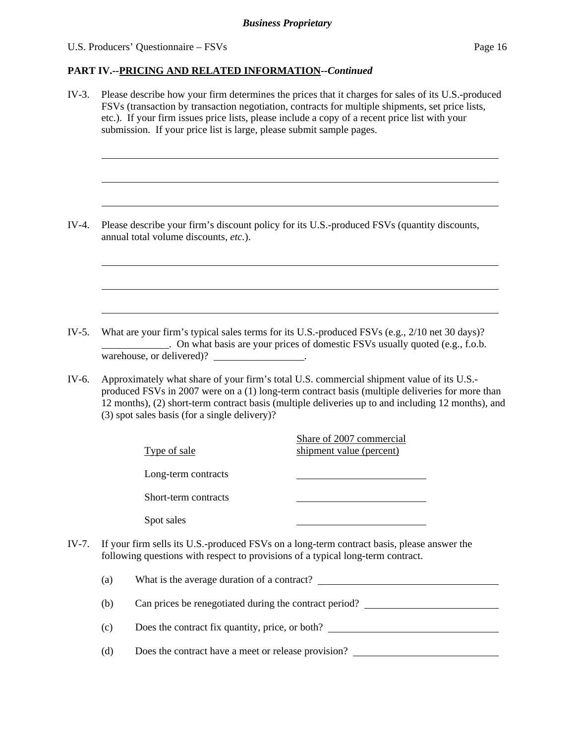#### U.S. Producers' Questionnaire – FSVs Page 16

#### **PART IV.--PRICING AND RELATED INFORMATION***--Continued*

IV-3. Please describe how your firm determines the prices that it charges for sales of its U.S.-produced FSVs (transaction by transaction negotiation, contracts for multiple shipments, set price lists, etc.). If your firm issues price lists, please include a copy of a recent price list with your submission. If your price list is large, please submit sample pages. l  $\overline{a}$  $\overline{a}$ IV-4. Please describe your firm's discount policy for its U.S.-produced FSVs (quantity discounts, annual total volume discounts, *etc.*).  $\overline{a}$  $\overline{a}$  $\overline{a}$ IV-5. What are your firm's typical sales terms for its U.S.-produced FSVs (e.g., 2/10 net 30 days)? . On what basis are your prices of domestic FSVs usually quoted (e.g., f.o.b. warehouse, or delivered)? \_\_\_\_\_\_\_\_\_\_\_\_\_\_\_. IV-6. Approximately what share of your firm's total U.S. commercial shipment value of its U.S. produced FSVs in 2007 were on a (1) long-term contract basis (multiple deliveries for more than 12 months), (2) short-term contract basis (multiple deliveries up to and including 12 months), and (3) spot sales basis (for a single delivery)? Type of sale Share of 2007 commercial shipment value (percent) Long-term contracts Short-term contracts Spot sales IV-7. If your firm sells its U.S.-produced FSVs on a long-term contract basis, please answer the following questions with respect to provisions of a typical long-term contract. (a) What is the average duration of a contract? (b) Can prices be renegotiated during the contract period? (c) Does the contract fix quantity, price, or both? (d) Does the contract have a meet or release provision?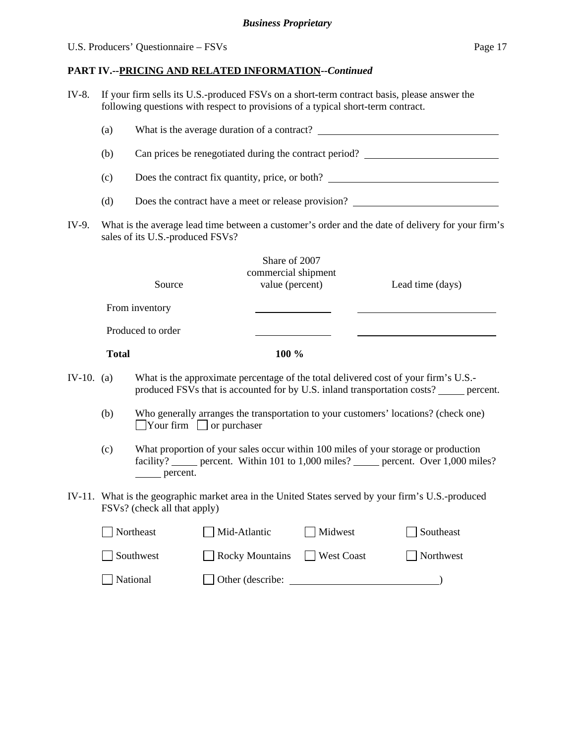# U.S. Producers' Questionnaire – FSVs Page 17

# **PART IV.--PRICING AND RELATED INFORMATION***--Continued*

IV-8. If your firm sells its U.S.-produced FSVs on a short-term contract basis, please answer the following questions with respect to provisions of a typical short-term contract.

|            | (a)                                                                                                                                   |                   |                                                         |            |                                                                                                                                                                                 |  |  |  |
|------------|---------------------------------------------------------------------------------------------------------------------------------------|-------------------|---------------------------------------------------------|------------|---------------------------------------------------------------------------------------------------------------------------------------------------------------------------------|--|--|--|
|            | (b)                                                                                                                                   |                   |                                                         |            | Can prices be renegotiated during the contract period?                                                                                                                          |  |  |  |
|            | (c)                                                                                                                                   |                   |                                                         |            | Does the contract fix quantity, price, or both?                                                                                                                                 |  |  |  |
|            | (d)                                                                                                                                   |                   |                                                         |            | Does the contract have a meet or release provision?                                                                                                                             |  |  |  |
| IV-9.      | What is the average lead time between a customer's order and the date of delivery for your firm's<br>sales of its U.S.-produced FSVs? |                   |                                                         |            |                                                                                                                                                                                 |  |  |  |
|            |                                                                                                                                       | Source            | Share of 2007<br>commercial shipment<br>value (percent) |            | Lead time (days)                                                                                                                                                                |  |  |  |
|            |                                                                                                                                       | From inventory    |                                                         |            |                                                                                                                                                                                 |  |  |  |
|            |                                                                                                                                       | Produced to order |                                                         |            |                                                                                                                                                                                 |  |  |  |
|            | <b>Total</b>                                                                                                                          |                   | 100 %                                                   |            |                                                                                                                                                                                 |  |  |  |
| IV-10. (a) |                                                                                                                                       |                   |                                                         |            | What is the approximate percentage of the total delivered cost of your firm's U.S.-<br>produced FSVs that is accounted for by U.S. inland transportation costs? ______ percent. |  |  |  |
|            | (b)                                                                                                                                   |                   | $\Box$ Your firm $\Box$ or purchaser                    |            | Who generally arranges the transportation to your customers' locations? (check one)                                                                                             |  |  |  |
|            | (c)                                                                                                                                   | ______ percent.   |                                                         |            | What proportion of your sales occur within 100 miles of your storage or production<br>facility? ______ percent. Within 101 to 1,000 miles? ______ percent. Over 1,000 miles?    |  |  |  |
|            | IV-11. What is the geographic market area in the United States served by your firm's U.S.-produced<br>FSVs? (check all that apply)    |                   |                                                         |            |                                                                                                                                                                                 |  |  |  |
|            |                                                                                                                                       | Northeast         | Mid-Atlantic                                            | Midwest    | Southeast                                                                                                                                                                       |  |  |  |
|            |                                                                                                                                       | Southwest         | Rocky Mountains                                         | West Coast | Northwest                                                                                                                                                                       |  |  |  |
|            |                                                                                                                                       | National          | Other (describe:                                        |            |                                                                                                                                                                                 |  |  |  |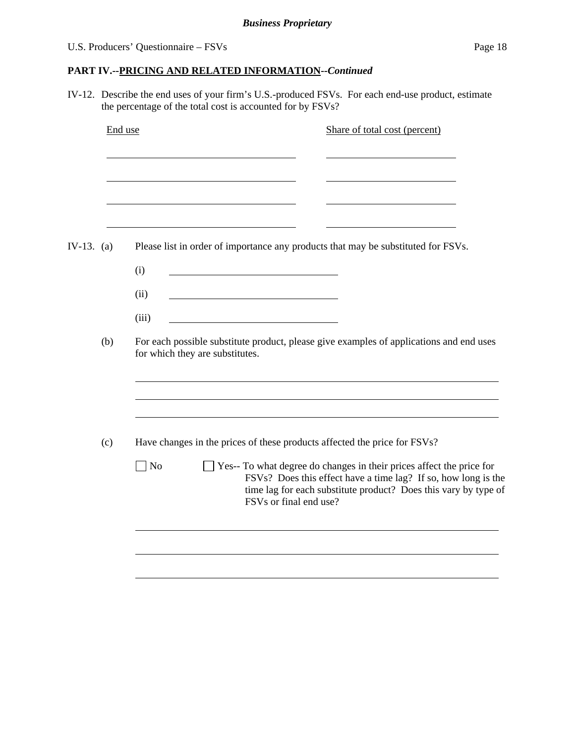# **PART IV.--PRICING AND RELATED INFORMATION***--Continued*

IV-12. Describe the end uses of your firm's U.S.-produced FSVs. For each end-use product, estimate the percentage of the total cost is accounted for by FSVs?

|            | End use | Share of total cost (percent)                                                                                                                                                                                                                         |
|------------|---------|-------------------------------------------------------------------------------------------------------------------------------------------------------------------------------------------------------------------------------------------------------|
|            |         |                                                                                                                                                                                                                                                       |
| IV-13. (a) |         | Please list in order of importance any products that may be substituted for FSVs.                                                                                                                                                                     |
|            |         | (i)<br>(ii)                                                                                                                                                                                                                                           |
|            |         | (iii)                                                                                                                                                                                                                                                 |
|            | (b)     | For each possible substitute product, please give examples of applications and end uses<br>for which they are substitutes.                                                                                                                            |
|            |         |                                                                                                                                                                                                                                                       |
|            | (c)     | Have changes in the prices of these products affected the price for FSVs?                                                                                                                                                                             |
|            |         | N <sub>o</sub><br>Yes-- To what degree do changes in their prices affect the price for<br>FSVs? Does this effect have a time lag? If so, how long is the<br>time lag for each substitute product? Does this vary by type of<br>FSVs or final end use? |
|            |         |                                                                                                                                                                                                                                                       |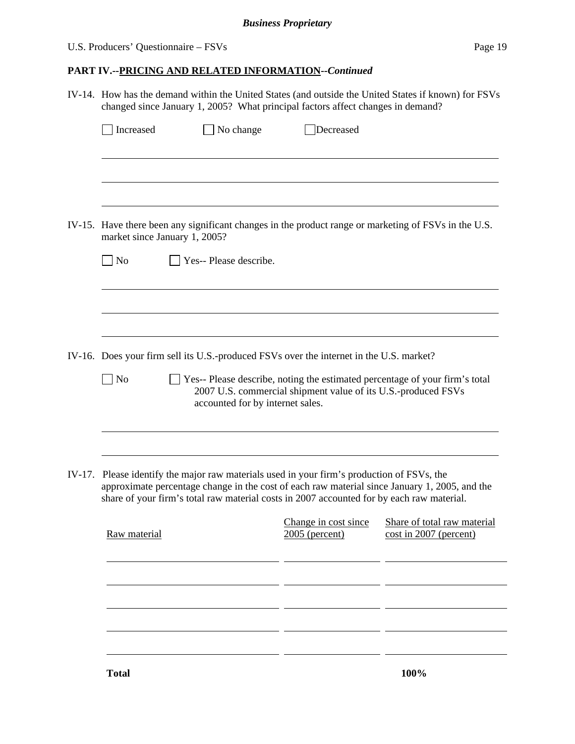# U.S. Producers' Questionnaire – FSVs Page 19

# **PART IV.--PRICING AND RELATED INFORMATION***--Continued*

|        | IV-14. How has the demand within the United States (and outside the United States if known) for FSVs<br>changed since January 1, 2005? What principal factors affect changes in demand?            |                                                                                                                                                                                  |                                        |                                                                                                      |  |  |  |  |
|--------|----------------------------------------------------------------------------------------------------------------------------------------------------------------------------------------------------|----------------------------------------------------------------------------------------------------------------------------------------------------------------------------------|----------------------------------------|------------------------------------------------------------------------------------------------------|--|--|--|--|
|        | Increased                                                                                                                                                                                          | $\Box$ No change                                                                                                                                                                 | Decreased                              |                                                                                                      |  |  |  |  |
|        |                                                                                                                                                                                                    |                                                                                                                                                                                  |                                        |                                                                                                      |  |  |  |  |
|        |                                                                                                                                                                                                    |                                                                                                                                                                                  |                                        |                                                                                                      |  |  |  |  |
|        |                                                                                                                                                                                                    | market since January 1, 2005?                                                                                                                                                    |                                        | IV-15. Have there been any significant changes in the product range or marketing of FSVs in the U.S. |  |  |  |  |
|        | $\Box$ No                                                                                                                                                                                          | Yes-- Please describe.                                                                                                                                                           |                                        |                                                                                                      |  |  |  |  |
|        |                                                                                                                                                                                                    |                                                                                                                                                                                  |                                        |                                                                                                      |  |  |  |  |
|        |                                                                                                                                                                                                    |                                                                                                                                                                                  |                                        |                                                                                                      |  |  |  |  |
|        |                                                                                                                                                                                                    | IV-16. Does your firm sell its U.S.-produced FSVs over the internet in the U.S. market?                                                                                          |                                        |                                                                                                      |  |  |  |  |
|        | N <sub>o</sub><br>Yes-- Please describe, noting the estimated percentage of your firm's total<br>2007 U.S. commercial shipment value of its U.S.-produced FSVs<br>accounted for by internet sales. |                                                                                                                                                                                  |                                        |                                                                                                      |  |  |  |  |
|        |                                                                                                                                                                                                    |                                                                                                                                                                                  |                                        |                                                                                                      |  |  |  |  |
| IV-17. |                                                                                                                                                                                                    | Please identify the major raw materials used in your firm's production of FSVs, the<br>share of your firm's total raw material costs in 2007 accounted for by each raw material. |                                        | approximate percentage change in the cost of each raw material since January 1, 2005, and the        |  |  |  |  |
|        | Raw material                                                                                                                                                                                       |                                                                                                                                                                                  | Change in cost since<br>2005 (percent) | Share of total raw material<br>cost in 2007 (percent)                                                |  |  |  |  |
|        |                                                                                                                                                                                                    |                                                                                                                                                                                  |                                        |                                                                                                      |  |  |  |  |
|        |                                                                                                                                                                                                    |                                                                                                                                                                                  |                                        |                                                                                                      |  |  |  |  |
|        |                                                                                                                                                                                                    |                                                                                                                                                                                  |                                        |                                                                                                      |  |  |  |  |
|        |                                                                                                                                                                                                    |                                                                                                                                                                                  |                                        |                                                                                                      |  |  |  |  |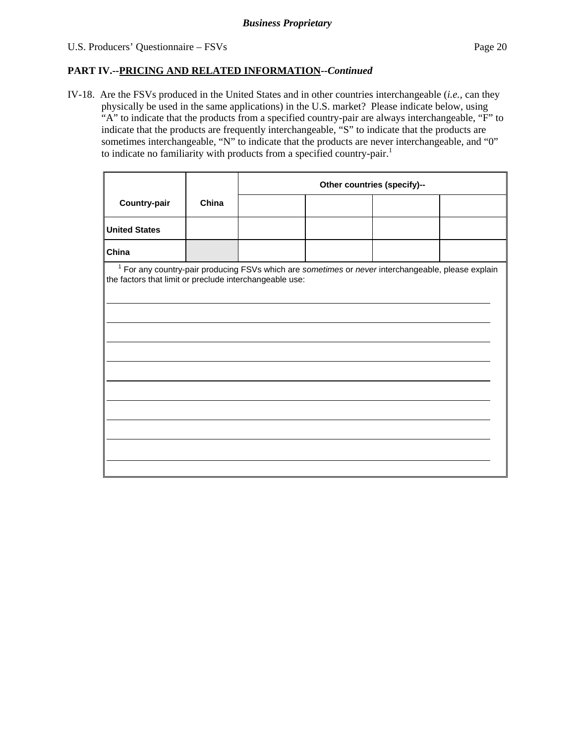#### **PART IV.--PRICING AND RELATED INFORMATION***--Continued*

IV-18. Are the FSVs produced in the United States and in other countries interchangeable (*i.e.*, can they physically be used in the same applications) in the U.S. market? Please indicate below, using "A" to indicate that the products from a specified country-pair are always interchangeable, "F" to indicate that the products are frequently interchangeable, "S" to indicate that the products are sometimes interchangeable, "N" to indicate that the products are never interchangeable, and "0" to indicate no familiarity with products from a specified country-pair.<sup>1</sup>

|                                                                                                                                                                          |       | Other countries (specify)-- |  |  |  |  |
|--------------------------------------------------------------------------------------------------------------------------------------------------------------------------|-------|-----------------------------|--|--|--|--|
| Country-pair                                                                                                                                                             | China |                             |  |  |  |  |
| <b>United States</b>                                                                                                                                                     |       |                             |  |  |  |  |
| China                                                                                                                                                                    |       |                             |  |  |  |  |
| <sup>1</sup> For any country-pair producing FSVs which are sometimes or never interchangeable, please explain<br>the factors that limit or preclude interchangeable use: |       |                             |  |  |  |  |
|                                                                                                                                                                          |       |                             |  |  |  |  |
|                                                                                                                                                                          |       |                             |  |  |  |  |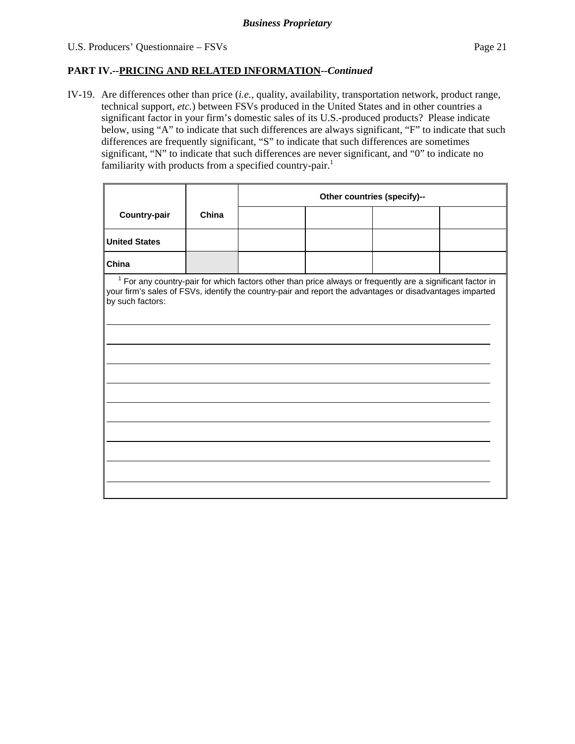### U.S. Producers' Questionnaire – FSVs Page 21

#### **PART IV.--PRICING AND RELATED INFORMATION***--Continued*

IV-19. Are differences other than price (*i.e.*, quality, availability, transportation network, product range, technical support, *etc.*) between FSVs produced in the United States and in other countries a significant factor in your firm's domestic sales of its U.S.-produced products? Please indicate below, using "A" to indicate that such differences are always significant, "F" to indicate that such differences are frequently significant, "S" to indicate that such differences are sometimes significant, "N" to indicate that such differences are never significant, and "0" to indicate no familiarity with products from a specified country-pair.<sup>1</sup>

|                                                                                                                              |       | Other countries (specify)-- |                                                                                                              |  |  |  |
|------------------------------------------------------------------------------------------------------------------------------|-------|-----------------------------|--------------------------------------------------------------------------------------------------------------|--|--|--|
| Country-pair                                                                                                                 | China |                             |                                                                                                              |  |  |  |
| <b>United States</b>                                                                                                         |       |                             |                                                                                                              |  |  |  |
| China                                                                                                                        |       |                             |                                                                                                              |  |  |  |
| your firm's sales of FSVs, identify the country-pair and report the advantages or disadvantages imparted<br>by such factors: |       |                             | $1$ For any country-pair for which factors other than price always or frequently are a significant factor in |  |  |  |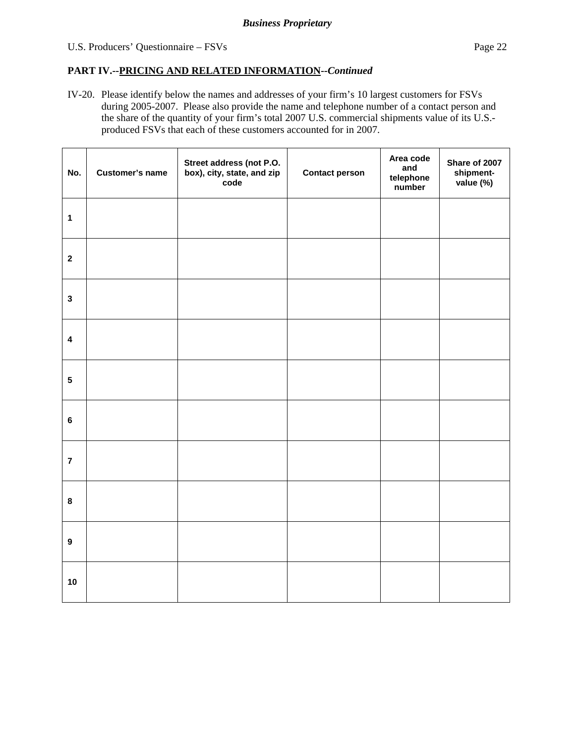### U.S. Producers' Questionnaire – FSVs Page 22

## **PART IV.--PRICING AND RELATED INFORMATION***--Continued*

IV-20. Please identify below the names and addresses of your firm's 10 largest customers for FSVs during 2005-2007. Please also provide the name and telephone number of a contact person and the share of the quantity of your firm's total 2007 U.S. commercial shipments value of its U.S. produced FSVs that each of these customers accounted for in 2007.

| No.                     | <b>Customer's name</b> | Street address (not P.O.<br>box), city, state, and zip<br>code | <b>Contact person</b> | Area code<br>and<br>telephone<br>number | Share of 2007<br>shipment-<br>value (%) |
|-------------------------|------------------------|----------------------------------------------------------------|-----------------------|-----------------------------------------|-----------------------------------------|
| $\mathbf{1}$            |                        |                                                                |                       |                                         |                                         |
| $\mathbf{2}$            |                        |                                                                |                       |                                         |                                         |
| $\mathbf{3}$            |                        |                                                                |                       |                                         |                                         |
| $\overline{\mathbf{4}}$ |                        |                                                                |                       |                                         |                                         |
| $5\phantom{.0}$         |                        |                                                                |                       |                                         |                                         |
| $6\phantom{a}$          |                        |                                                                |                       |                                         |                                         |
| $\overline{7}$          |                        |                                                                |                       |                                         |                                         |
| $\bf8$                  |                        |                                                                |                       |                                         |                                         |
| $\boldsymbol{9}$        |                        |                                                                |                       |                                         |                                         |
| 10                      |                        |                                                                |                       |                                         |                                         |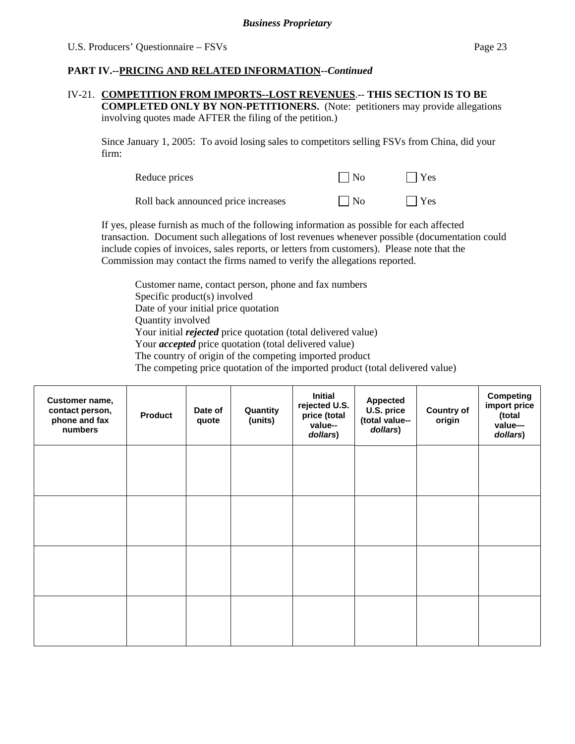#### **PART IV.--PRICING AND RELATED INFORMATION***--Continued*

#### IV-21. **COMPETITION FROM IMPORTS--LOST REVENUES**.-- **THIS SECTION IS TO BE COMPLETED ONLY BY NON-PETITIONERS.** (Note: petitioners may provide allegations involving quotes made AFTER the filing of the petition.)

Since January 1, 2005: To avoid losing sales to competitors selling FSVs from China, did your firm:

| Reduce prices                       | $\Box$ No | $\Box$ Yes |
|-------------------------------------|-----------|------------|
| Roll back announced price increases | $\Box$ No | $\Box$ Yes |

If yes, please furnish as much of the following information as possible for each affected transaction. Document such allegations of lost revenues whenever possible (documentation could include copies of invoices, sales reports, or letters from customers). Please note that the Commission may contact the firms named to verify the allegations reported.

Customer name, contact person, phone and fax numbers Specific product(s) involved Date of your initial price quotation Quantity involved Your initial *rejected* price quotation (total delivered value) Your *accepted* price quotation (total delivered value) The country of origin of the competing imported product The competing price quotation of the imported product (total delivered value)

| Customer name,<br>contact person,<br>phone and fax<br>numbers | <b>Product</b> | Date of<br>quote | Quantity<br>(units) | Initial<br>rejected U.S.<br>price (total<br>value--<br>dollars) | <b>Appected</b><br>U.S. price<br>(total value--<br>dollars) | <b>Country of</b><br>origin | <b>Competing</b><br>import price<br>(total<br>value-<br>dollars) |
|---------------------------------------------------------------|----------------|------------------|---------------------|-----------------------------------------------------------------|-------------------------------------------------------------|-----------------------------|------------------------------------------------------------------|
|                                                               |                |                  |                     |                                                                 |                                                             |                             |                                                                  |
|                                                               |                |                  |                     |                                                                 |                                                             |                             |                                                                  |
|                                                               |                |                  |                     |                                                                 |                                                             |                             |                                                                  |
|                                                               |                |                  |                     |                                                                 |                                                             |                             |                                                                  |